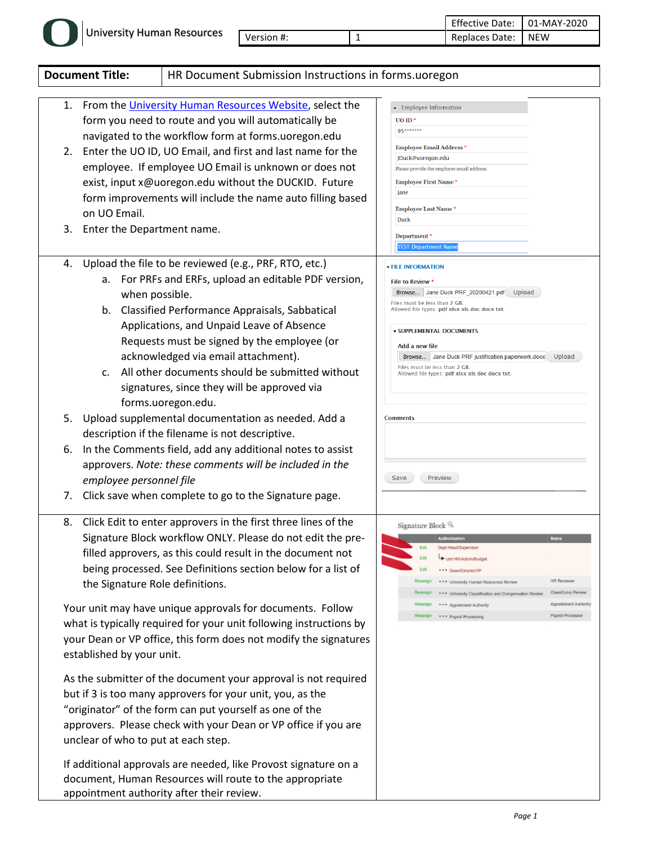|  | University Human Resources |            | Effective Date:   01-MAY-2020 |     |
|--|----------------------------|------------|-------------------------------|-----|
|  |                            | Version #: | Replaces Date:                | NEW |

|                      | <b>Document Title:</b><br>HR Document Submission Instructions in forms.uoregon                                                                                                                                                                                                                                                                                                                                                                                                                                                                                                                                                                                                                                                                                                                                                                                                                                                                                                                                 |                                                                                                                                                                                                                                                                                                                                                                                                                                                                    |  |  |  |  |
|----------------------|----------------------------------------------------------------------------------------------------------------------------------------------------------------------------------------------------------------------------------------------------------------------------------------------------------------------------------------------------------------------------------------------------------------------------------------------------------------------------------------------------------------------------------------------------------------------------------------------------------------------------------------------------------------------------------------------------------------------------------------------------------------------------------------------------------------------------------------------------------------------------------------------------------------------------------------------------------------------------------------------------------------|--------------------------------------------------------------------------------------------------------------------------------------------------------------------------------------------------------------------------------------------------------------------------------------------------------------------------------------------------------------------------------------------------------------------------------------------------------------------|--|--|--|--|
| 1.<br>2.             | From the University Human Resources Website, select the<br>form you need to route and you will automatically be<br>navigated to the workflow form at forms.uoregon.edu<br>Enter the UO ID, UO Email, and first and last name for the<br>employee. If employee UO Email is unknown or does not<br>exist, input x@uoregon.edu without the DUCKID. Future<br>form improvements will include the name auto filling based<br>on UO Email.<br>3. Enter the Department name.                                                                                                                                                                                                                                                                                                                                                                                                                                                                                                                                          | Employee Information<br>$UO$ ID <sup>*</sup><br>95*******<br><b>Employee Email Address *</b><br>JDuck@uoregon.edu<br>Please provide the employee email address.<br><b>Employee First Name *</b><br>Jane<br><b>Employee Last Name*</b><br><b>Duck</b><br>Department*                                                                                                                                                                                                |  |  |  |  |
| 4.<br>5.<br>6.<br>7. | Upload the file to be reviewed (e.g., PRF, RTO, etc.)<br>For PRFs and ERFs, upload an editable PDF version,<br>а.<br>when possible.<br>b. Classified Performance Appraisals, Sabbatical<br>Applications, and Unpaid Leave of Absence<br>Requests must be signed by the employee (or<br>acknowledged via email attachment).<br>All other documents should be submitted without<br>C <sub>1</sub><br>signatures, since they will be approved via<br>forms.uoregon.edu.<br>Upload supplemental documentation as needed. Add a<br>description if the filename is not descriptive.<br>In the Comments field, add any additional notes to assist<br>approvers. Note: these comments will be included in the<br>employee personnel file<br>Click save when complete to go to the Signature page.                                                                                                                                                                                                                      | <b>TEST Department Name</b><br><b>- FILE INFORMATION</b><br><b>File to Review *</b><br>Browse Jane Duck PRF_20200421.pdf<br>Upload<br>Files must be less than 2 GB.<br>Allowed file types: pdf xlsx xls doc docx txt.<br><b>v SUPPLEMENTAL DOCUMENTS</b><br>Add a new file<br>Browse Jane Duck PRF justification paperwork.docx<br>Upload<br>Files must be less than 2 GB.<br>Allowed file types: pdf xlsx xls doc docx txt.<br><b>Comments</b><br>Save<br>Preview |  |  |  |  |
| 8.                   | Click Edit to enter approvers in the first three lines of the<br>Signature Block workflow ONLY. Please do not edit the pre-<br>filled approvers, as this could result in the document not<br>being processed. See Definitions section below for a list of<br>the Signature Role definitions.<br>Your unit may have unique approvals for documents. Follow<br>what is typically required for your unit following instructions by<br>your Dean or VP office, this form does not modify the signatures<br>established by your unit.<br>As the submitter of the document your approval is not required<br>but if 3 is too many approvers for your unit, you, as the<br>"originator" of the form can put yourself as one of the<br>approvers. Please check with your Dean or VP office if you are<br>unclear of who to put at each step.<br>If additional approvals are needed, like Provost signature on a<br>document, Human Resources will route to the appropriate<br>appointment authority after their review. | Signature Block<br><b>Authorizatio</b><br>Dept Head/Supervisor<br>Unit HR/Admin/Budget<br>Fdit<br>Edit<br>*** Dean/Director/VP<br><b>HR Reviewer</b><br>*** University Human Resources Review<br>ClassComp Review<br>*** University Classification and Compensation Review<br>Appointment Authorit<br>*** Appoinment Authority<br>Payroll Processor<br>*** Payroll Processing                                                                                      |  |  |  |  |

l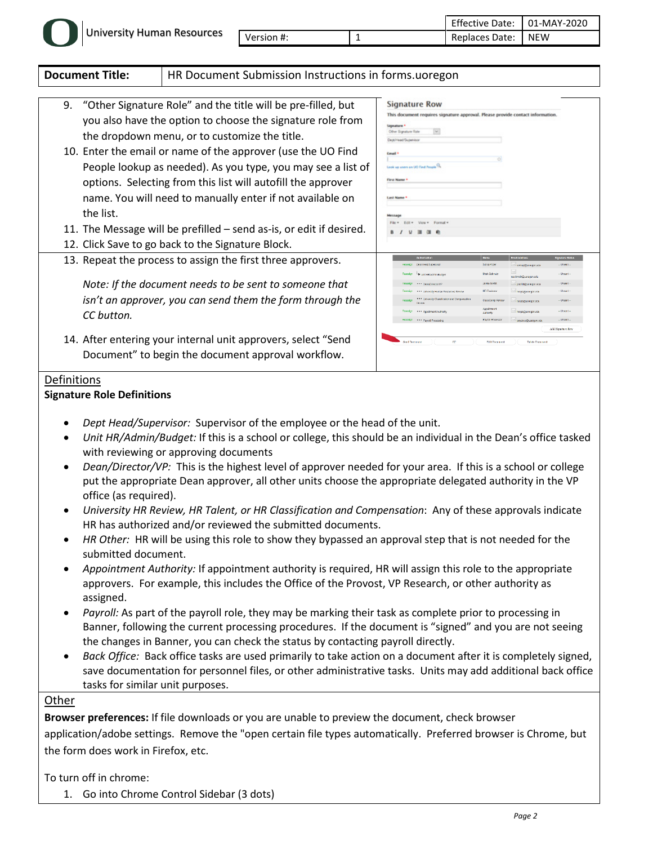|  | University Human Resources |            |   | Effective<br>Date: | 01-MAY-2020 |
|--|----------------------------|------------|---|--------------------|-------------|
|  |                            | Version #: | - | Replaces Date:     | <b>NEW</b>  |

| <b>Document Title:</b><br>HR Document Submission Instructions in forms.uoregon |                                                                                                                                                                                                                                                                                                                                                                                                                                             |                                                                                                                                                                                                                       |                                                                                                                                  |                                                                                                                                 |                                                                                  |
|--------------------------------------------------------------------------------|---------------------------------------------------------------------------------------------------------------------------------------------------------------------------------------------------------------------------------------------------------------------------------------------------------------------------------------------------------------------------------------------------------------------------------------------|-----------------------------------------------------------------------------------------------------------------------------------------------------------------------------------------------------------------------|----------------------------------------------------------------------------------------------------------------------------------|---------------------------------------------------------------------------------------------------------------------------------|----------------------------------------------------------------------------------|
|                                                                                | 9. "Other Signature Role" and the title will be pre-filled, but<br>you also have the option to choose the signature role from<br>the dropdown menu, or to customize the title.<br>10. Enter the email or name of the approver (use the UO Find<br>People lookup as needed). As you type, you may see a list of<br>options. Selecting from this list will autofill the approver<br>name. You will need to manually enter if not available on |                                                                                                                                                                                                                       |                                                                                                                                  | This document requires signature approval. Please provide contact information.                                                  |                                                                                  |
| the list.                                                                      | 11. The Message will be prefilled – send as-is, or edit if desired.<br>12. Click Save to go back to the Signature Block.                                                                                                                                                                                                                                                                                                                    | Message<br>Edit = View = Format +<br>8 / 9 3 3 6                                                                                                                                                                      |                                                                                                                                  |                                                                                                                                 |                                                                                  |
|                                                                                | 13. Repeat the process to assign the first three approvers.                                                                                                                                                                                                                                                                                                                                                                                 | Dect Head Supervise                                                                                                                                                                                                   | <b>Name</b><br>Sonia Potte                                                                                                       | Email Address<br>испередатовретного                                                                                             | <b>Signature Status</b>                                                          |
| CC button.                                                                     | Note: If the document needs to be sent to someone that<br>isn't an approver, you can send them the form through the                                                                                                                                                                                                                                                                                                                         | Roassign<br>The Link HR/Admin/Budget<br>*** Deadlington/d<br>*** University Human Resources Review<br>*** University Classification and Compensatio<br>Roassign +++ Appelmment Authority<br>Reassign Payrel Processin | Mark Schmel<br>James Mott<br><b>HR Rowings</b><br><b>ClassCome Re</b><br>Appointmen<br><b>Authorth</b><br><b>Payrol Processo</b> | Libo.nagens@damidsm<br>moltiguoregon.edu<br>Propségacrogon.com<br>hrops@ucregon.edu<br>Props@acrogon.edu<br>paytocs@upregon.edi | - Unsent-<br><b>Unsent</b><br>$-$ Lineard<br>- Unsent-<br>- Union !-<br>- Unsent |
|                                                                                | 14. After entering your internal unit approvers, select "Send<br>Document" to begin the document approval workflow.                                                                                                                                                                                                                                                                                                                         | $\alpha$<br><b>Send December</b>                                                                                                                                                                                      | <b>Edit Document</b>                                                                                                             | Deiche Document                                                                                                                 | Add Signature Row                                                                |

## **Signature Role Definitions**

- *Dept Head/Supervisor:* Supervisor of the employee or the head of the unit.
- *Unit HR/Admin/Budget:* If this is a school or college, this should be an individual in the Dean's office tasked with reviewing or approving documents
- *Dean/Director/VP:* This is the highest level of approver needed for your area. If this is a school or college put the appropriate Dean approver, all other units choose the appropriate delegated authority in the VP office (as required).
- *University HR Review, HR Talent, or HR Classification and Compensation*: Any of these approvals indicate HR has authorized and/or reviewed the submitted documents.
- *HR Other:* HR will be using this role to show they bypassed an approval step that is not needed for the submitted document.
- *Appointment Authority:* If appointment authority is required, HR will assign this role to the appropriate approvers. For example, this includes the Office of the Provost, VP Research, or other authority as assigned.
- *Payroll:* As part of the payroll role, they may be marking their task as complete prior to processing in Banner, following the current processing procedures. If the document is "signed" and you are not seeing the changes in Banner, you can check the status by contacting payroll directly.
- *Back Office:* Back office tasks are used primarily to take action on a document after it is completely signed, save documentation for personnel files, or other administrative tasks. Units may add additional back office tasks for similar unit purposes.

## **Other**

**Browser preferences:** If file downloads or you are unable to preview the document, check browser application/adobe settings. Remove the "open certain file types automatically. Preferred browser is Chrome, but the form does work in Firefox, etc.

To turn off in chrome:

1. Go into Chrome Control Sidebar (3 dots)